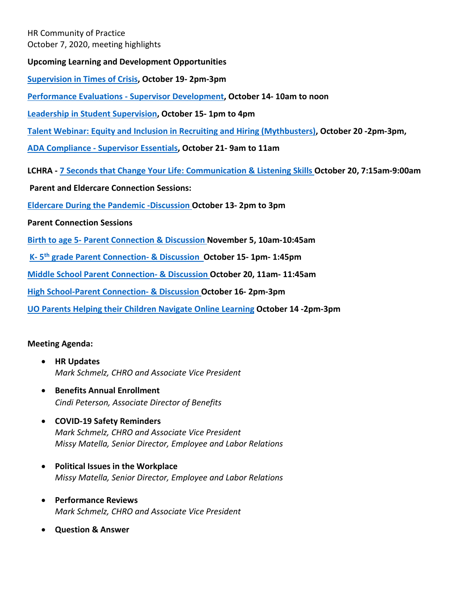HR Community of Practice October 7, 2020, meeting highlights

**Upcoming Learning and Development Opportunities**

**[Supervision in Times of Crisis,](https://uomytrack.pageuppeople.com/learning/3094) October 19- 2pm-3pm**

**[Performance Evaluations -](https://uomytrack.pageuppeople.com/learning/2440) Supervisor Development, October 14- 10am to noon**

**[Leadership in Student Supervision,](https://uomytrack.pageuppeople.com/learning/1887) October 15- 1pm to 4pm**

**[Talent Webinar: Equity and Inclusion in Recruiting and Hiring \(Mythbusters\),](https://uomytrack.pageuppeople.com/learning/3099) October 20 -2pm-3pm,** 

**ADA Compliance - [Supervisor Essentials,](https://uomytrack.pageuppeople.com/learning/2704/timeslot/281349) October 21- 9am to 11am**

**LCHRA - [7 Seconds that Change Your Life: Communication & Listening Skills O](https://lchra.org/events)ctober 20, 7:15am-9:00am**

**Parent and Eldercare Connection Sessions:**

**[Eldercare During the Pandemic -Discussion O](https://uomytrack.pageuppeople.com/learning/3070)ctober 13- 2pm to 3pm**

**Parent Connection Sessions**

**Birth to age 5- [Parent Connection & Discussion N](https://uomytrack.pageuppeople.com/learning/3095)ovember 5, 10am-10:45am**

**[K-](https://uomytrack.pageuppeople.com/learning/3096) [5th](https://uomytrack.pageuppeople.com/learning/3096) [grade Parent Connection-](https://uomytrack.pageuppeople.com/learning/3096) & Discussio[n O](https://uomytrack.pageuppeople.com/learning/3096)ctober 15- 1pm- 1:45pm**

**[Middle School Parent Connection-](https://uomytrack.pageuppeople.com/learning/3097) & Discussion October 20, 11am- 11:45am**

**[High School-Parent Connection-](https://uomytrack.pageuppeople.com/learning/3089) & Discussion October 16- 2pm-3pm**

**[UO Parents Helping their Children Navigate Online Learning](https://uomytrack.pageuppeople.com/learning/3098/timeslot/281393) October 14 -2pm-3pm**

#### **Meeting Agenda:**

- **HR Updates** *Mark Schmelz, CHRO and Associate Vice President*
- **Benefits Annual Enrollment** *Cindi Peterson, Associate Director of Benefits*
- **COVID-19 Safety Reminders** *Mark Schmelz, CHRO and Associate Vice President Missy Matella, Senior Director, Employee and Labor Relations*
- **Political Issues in the Workplace** *Missy Matella, Senior Director, Employee and Labor Relations*
- **Performance Reviews** *Mark Schmelz, CHRO and Associate Vice President*
- **Question & Answer**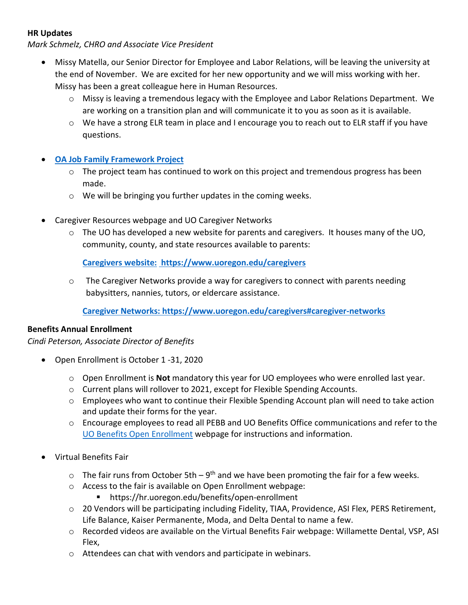# **HR Updates**

*Mark Schmelz, CHRO and Associate Vice President*

- Missy Matella, our Senior Director for Employee and Labor Relations, will be leaving the university at the end of November. We are excited for her new opportunity and we will miss working with her. Missy has been a great colleague here in Human Resources.
	- $\circ$  Missy is leaving a tremendous legacy with the Employee and Labor Relations Department. We are working on a transition plan and will communicate it to you as soon as it is available.
	- $\circ$  We have a strong ELR team in place and I encourage you to reach out to ELR staff if you have questions.

# • **[OA Job Family Framework](https://hr.uoregon.edu/classification-compensation/officers-administration-oas/oa-job-family-framework-project) Project**

- $\circ$  The project team has continued to work on this project and tremendous progress has been made.
- $\circ$  We will be bringing you further updates in the coming weeks.
- Caregiver Resources webpage and UO Caregiver Networks
	- o The UO has developed a new website for parents and caregivers. It houses many of the UO, community, county, and state resources available to parents:

**Caregivers website: <https://www.uoregon.edu/caregivers>**

 $\circ$  The Caregiver Networks provide a way for caregivers to connect with parents needing babysitters, nannies, tutors, or eldercare assistance.

**Caregiver Networks: [https://www.uoregon.edu/caregivers#caregiver-networks](https://www.uoregon.edu/caregivers)**

# **Benefits Annual Enrollment**

*Cindi Peterson, Associate Director of Benefits*

- Open Enrollment is October 1 -31, 2020
	- o Open Enrollment is **Not** mandatory this year for UO employees who were enrolled last year.
	- o Current plans will rollover to 2021, except for Flexible Spending Accounts.
	- $\circ$  Employees who want to continue their Flexible Spending Account plan will need to take action and update their forms for the year.
	- o Encourage employees to read all PEBB and UO Benefits Office communications and refer to the [UO Benefits Open Enrollment](https://hr.uoregon.edu/benefits/benefits-annual-open-enrollment) webpage for instructions and information.
- Virtual Benefits Fair
	- $\circ$  The fair runs from October 5th 9<sup>th</sup> and we have been promoting the fair for a few weeks.
	- o Access to the fair is available on Open Enrollment webpage:
		- https://hr.uoregon.edu/benefits/open-enrollment
	- $\circ$  20 Vendors will be participating including Fidelity, TIAA, Providence, ASI Flex, PERS Retirement, Life Balance, Kaiser Permanente, Moda, and Delta Dental to name a few.
	- o Recorded videos are available on the Virtual Benefits Fair webpage: Willamette Dental, VSP, ASI Flex,
	- o Attendees can chat with vendors and participate in webinars.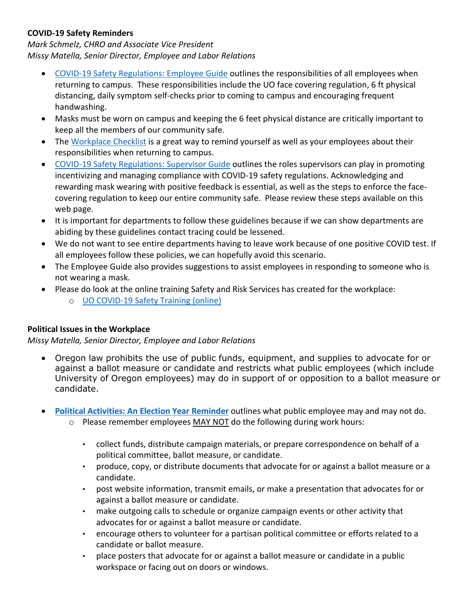# **COVID-19 Safety Reminders**

*Mark Schmelz, CHRO and Associate Vice President Missy Matella, Senior Director, Employee and Labor Relations*

- [COVID-19 Safety Regulations: Employee Guide](https://hr.uoregon.edu/programs-services/covid-19-resources/covid-19-safety-regulations-employee-guide) outlines the responsibilities of all employees when returning to campus. These responsibilities include the UO face covering regulation, 6 ft physical distancing, daily symptom self-checks prior to coming to campus and encouraging frequent handwashing.
- Masks must be worn on campus and keeping the 6 feet physical distance are critically important to keep all the members of our community safe.
- The [Workplace Checklist](https://hr.uoregon.edu/programs-services/covid-19-resources/covid-19-workplace-essentials-checklist-employee-guide) is a great way to remind yourself as well as your employees about their responsibilities when returning to campus.
- [COVID-19 Safety Regulations: Supervisor Guide](https://hr.uoregon.edu/programs-services/covid-19-resources/resources-supervisors-hr-partners/covid-19-safety-regulations) outlines the roles supervisors can play in promoting incentivizing and managing compliance with COVID-19 safety regulations. Acknowledging and rewarding mask wearing with positive feedback is essential, as well as the steps to enforce the facecovering regulation to keep our entire community safe. Please review these steps available on this web page.
- It is important for departments to follow these guidelines because if we can show departments are abiding by these guidelines contact tracing could be lessened.
- We do not want to see entire departments having to leave work because of one positive COVID test. If all employees follow these policies, we can hopefully avoid this scenario.
- The Employee Guide also provides suggestions to assist employees in responding to someone who is not wearing a mask.
- Please do look at the online training Safety and Risk Services has created for the workplace:
	- o UO COVID-19 Safety Training (online)

# **Political Issues in the Workplace**

*Missy Matella, Senior Director, Employee and Labor Relations*

- Oregon law prohibits the use of public funds, equipment, and supplies to advocate for or against a ballot measure or candidate and restricts what public employees (which include University of Oregon employees) may do in support of or opposition to a ballot measure or candidate.
- **[Political Activities: An Election Year Reminder](https://hr.uoregon.edu/political-activities-election-year-reminder)** outlines what public employee may and may not do.
	- $\circ$  Please remember employees MAY NOT do the following during work hours:
		- collect funds, distribute campaign materials, or prepare correspondence on behalf of a political committee, ballot measure, or candidate.
		- produce, copy, or distribute documents that advocate for or against a ballot measure or a candidate.
		- post website information, transmit emails, or make a presentation that advocates for or against a ballot measure or candidate.
		- make outgoing calls to schedule or organize campaign events or other activity that advocates for or against a ballot measure or candidate.
		- encourage others to volunteer for a partisan political committee or efforts related to a candidate or ballot measure.
		- place posters that advocate for or against a ballot measure or candidate in a public workspace or facing out on doors or windows.